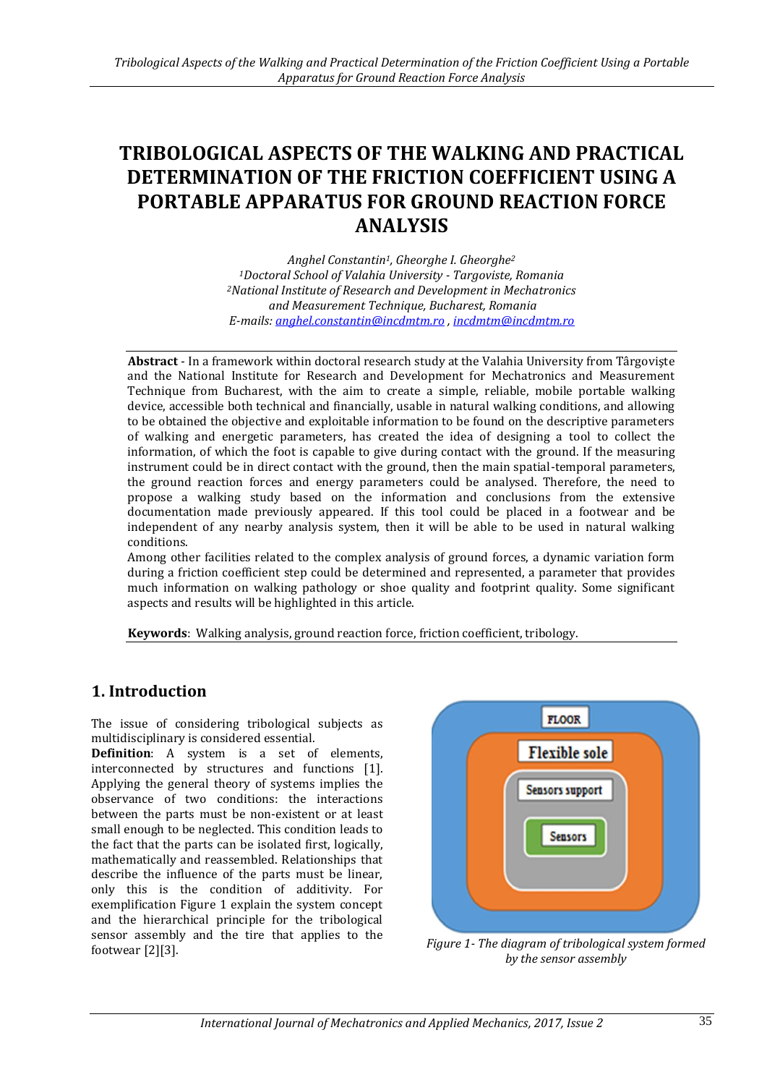# **TRIBOLOGICAL ASPECTS OF THE WALKING AND PRACTICAL DETERMINATION OF THE FRICTION COEFFICIENT USING A PORTABLE APPARATUS FOR GROUND REACTION FORCE ANALYSIS**

*Anghel Constantin1, Gheorghe I. Gheorghe<sup>2</sup> <sup>1</sup>Doctoral School of Valahia University - Targoviste, Romania <sup>2</sup>National Institute of Research and Development in Mechatronics and Measurement Technique, Bucharest, Romania E-mails: [anghel.constantin@incdmtm.ro](mailto:anghel.constantin@incdmtm.ro) , [incdmtm@incdmtm.ro](mailto:incdmtm@incdmtm.ro)*

**Abstract** - In a framework within doctoral research study at the Valahia University from Târgovişte and the National Institute for Research and Development for Mechatronics and Measurement Technique from Bucharest, with the aim to create a simple, reliable, mobile portable walking device, accessible both technical and financially, usable in natural walking conditions, and allowing to be obtained the objective and exploitable information to be found on the descriptive parameters of walking and energetic parameters, has created the idea of designing a tool to collect the information, of which the foot is capable to give during contact with the ground. If the measuring instrument could be in direct contact with the ground, then the main spatial-temporal parameters, the ground reaction forces and energy parameters could be analysed. Therefore, the need to propose a walking study based on the information and conclusions from the extensive documentation made previously appeared. If this tool could be placed in a footwear and be independent of any nearby analysis system, then it will be able to be used in natural walking conditions.

Among other facilities related to the complex analysis of ground forces, a dynamic variation form during a friction coefficient step could be determined and represented, a parameter that provides much information on walking pathology or shoe quality and footprint quality. Some significant aspects and results will be highlighted in this article.

**Keywords**: Walking analysis, ground reaction force, friction coefficient, tribology.

# **1. Introduction**

The issue of considering tribological subjects as multidisciplinary is considered essential.

**Definition**: A system is a set of elements, interconnected by structures and functions [1]. Applying the general theory of systems implies the observance of two conditions: the interactions between the parts must be non-existent or at least small enough to be neglected. This condition leads to the fact that the parts can be isolated first, logically, mathematically and reassembled. Relationships that describe the influence of the parts must be linear, only this is the condition of additivity. For exemplification Figure 1 explain the system concept and the hierarchical principle for the tribological sensor assembly and the tire that applies to the footwear [2][3]. *Figure 1- The diagram of tribological system formed* 



*by the sensor assembly*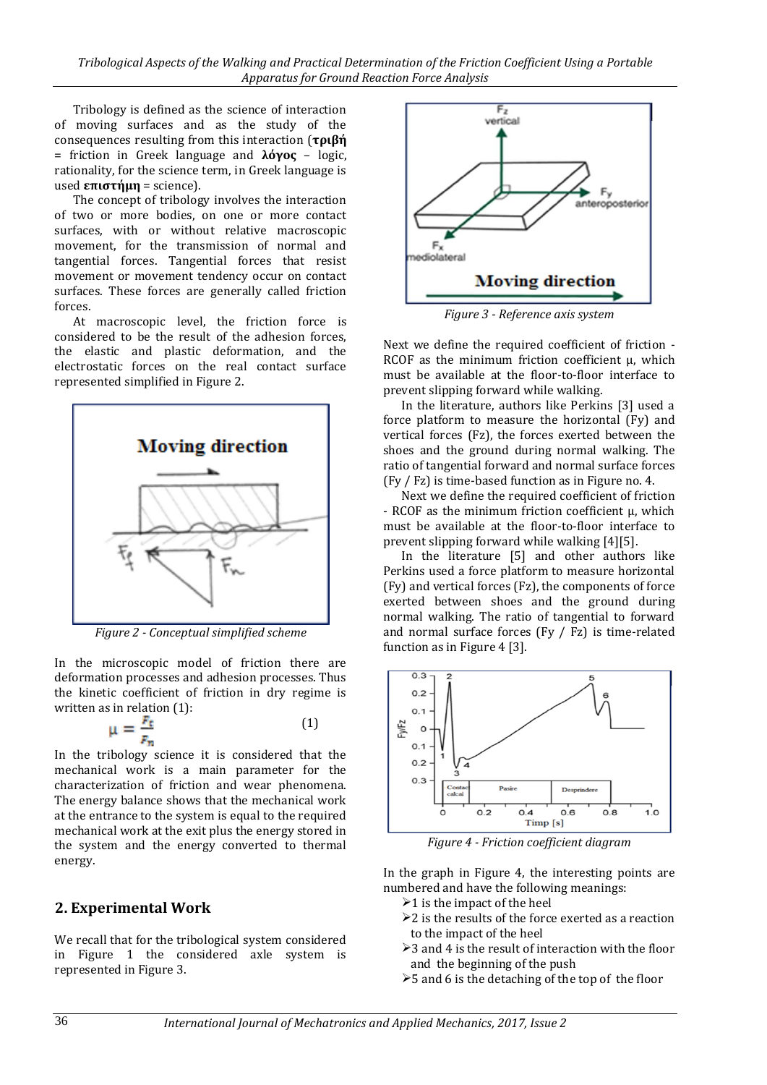*Tribological Aspects of the Walking and Practical Determination of the Friction Coefficient Using a Portable Apparatus for Ground Reaction Force Analysis*

Tribology is defined as the science of interaction of moving surfaces and as the study of the consequences resulting from this interaction (**τριβή** = friction in Greek language and **λόγος** – logic, rationality, for the science term, in Greek language is used **επιστήμη** = science).

The concept of tribology involves the interaction of two or more bodies, on one or more contact surfaces, with or without relative macroscopic movement, for the transmission of normal and tangential forces. Tangential forces that resist movement or movement tendency occur on contact surfaces. These forces are generally called friction forces.

At macroscopic level, the friction force is considered to be the result of the adhesion forces, the elastic and plastic deformation, and the electrostatic forces on the real contact surface represented simplified in Figure 2.



*Figure 2 - Conceptual simplified scheme*

In the microscopic model of friction there are deformation processes and adhesion processes. Thus the kinetic coefficient of friction in dry regime is written as in relation (1):

$$
\mu = \frac{F_t}{F_n} \tag{1}
$$

In the tribology science it is considered that the mechanical work is a main parameter for the characterization of friction and wear phenomena. The energy balance shows that the mechanical work at the entrance to the system is equal to the required mechanical work at the exit plus the energy stored in the system and the energy converted to thermal energy.

#### **2. Experimental Work**

We recall that for the tribological system considered in Figure 1 the considered axle system is represented in Figure 3.



*Figure 3 - Reference axis system*

Next we define the required coefficient of friction - RCOF as the minimum friction coefficient μ, which must be available at the floor-to-floor interface to prevent slipping forward while walking.

In the literature, authors like Perkins [3] used a force platform to measure the horizontal (Fy) and vertical forces (Fz), the forces exerted between the shoes and the ground during normal walking. The ratio of tangential forward and normal surface forces (Fy / Fz) is time-based function as in Figure no. 4.

Next we define the required coefficient of friction - RCOF as the minimum friction coefficient μ, which must be available at the floor-to-floor interface to prevent slipping forward while walking [4][5].

In the literature [5] and other authors like Perkins used a force platform to measure horizontal (Fy) and vertical forces (Fz), the components of force exerted between shoes and the ground during normal walking. The ratio of tangential to forward and normal surface forces (Fy / Fz) is time-related function as in Figure 4 [3].



*Figure 4 - Friction coefficient diagram*

In the graph in Figure 4, the interesting points are numbered and have the following meanings:

- $\geq 1$  is the impact of the heel
- $\geq 2$  is the results of the force exerted as a reaction to the impact of the heel
- $\geq$  3 and 4 is the result of interaction with the floor and the beginning of the push
- $>5$  and 6 is the detaching of the top of the floor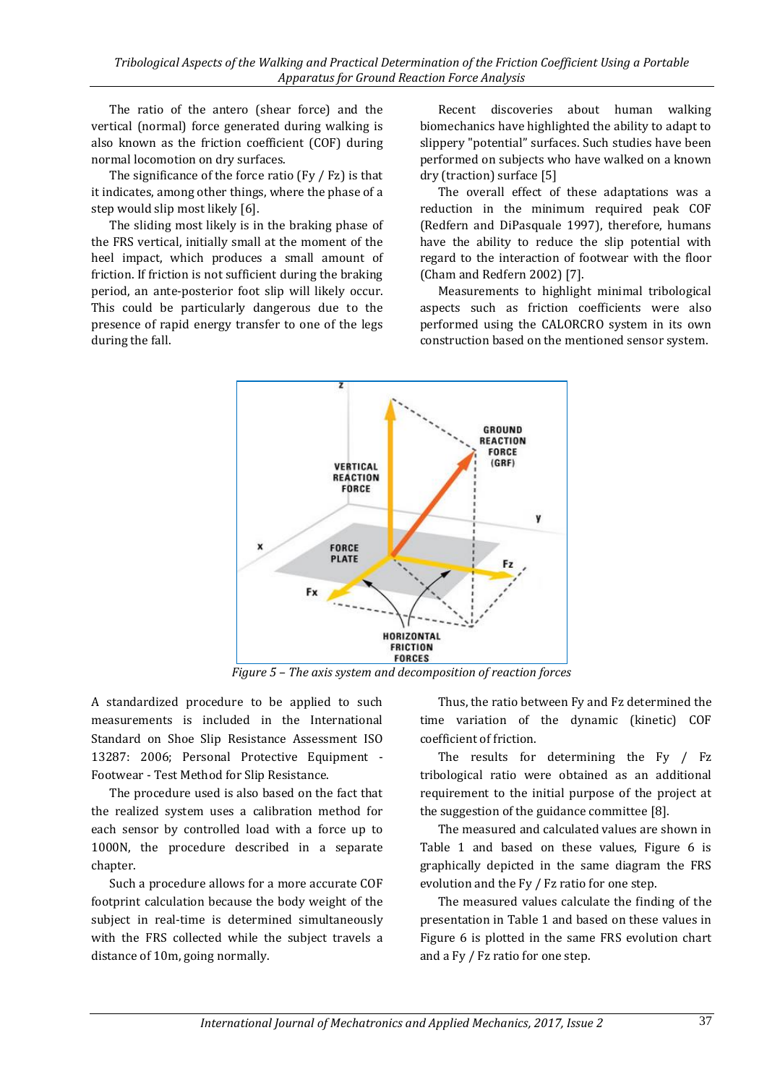The ratio of the antero (shear force) and the vertical (normal) force generated during walking is also known as the friction coefficient (COF) during normal locomotion on dry surfaces.

The significance of the force ratio  $(Fy / Fz)$  is that it indicates, among other things, where the phase of a step would slip most likely [6].

The sliding most likely is in the braking phase of the FRS vertical, initially small at the moment of the heel impact, which produces a small amount of friction. If friction is not sufficient during the braking period, an ante-posterior foot slip will likely occur. This could be particularly dangerous due to the presence of rapid energy transfer to one of the legs during the fall.

Recent discoveries about human walking biomechanics have highlighted the ability to adapt to slippery "potential" surfaces. Such studies have been performed on subjects who have walked on a known dry (traction) surface [5]

The overall effect of these adaptations was a reduction in the minimum required peak COF (Redfern and DiPasquale 1997), therefore, humans have the ability to reduce the slip potential with regard to the interaction of footwear with the floor (Cham and Redfern 2002) [7].

Measurements to highlight minimal tribological aspects such as friction coefficients were also performed using the CALORCRO system in its own construction based on the mentioned sensor system.



*Figure 5 – The axis system and decomposition of reaction forces*

A standardized procedure to be applied to such measurements is included in the International Standard on Shoe Slip Resistance Assessment ISO 13287: 2006; Personal Protective Equipment - Footwear - Test Method for Slip Resistance.

The procedure used is also based on the fact that the realized system uses a calibration method for each sensor by controlled load with a force up to 1000N, the procedure described in a separate chapter.

Such a procedure allows for a more accurate COF footprint calculation because the body weight of the subject in real-time is determined simultaneously with the FRS collected while the subject travels a distance of 10m, going normally.

Thus, the ratio between Fy and Fz determined the time variation of the dynamic (kinetic) COF coefficient of friction.

The results for determining the Fy / Fz tribological ratio were obtained as an additional requirement to the initial purpose of the project at the suggestion of the guidance committee [8].

The measured and calculated values are shown in Table 1 and based on these values, Figure 6 is graphically depicted in the same diagram the FRS evolution and the Fy / Fz ratio for one step.

The measured values calculate the finding of the presentation in Table 1 and based on these values in Figure 6 is plotted in the same FRS evolution chart and a Fy / Fz ratio for one step.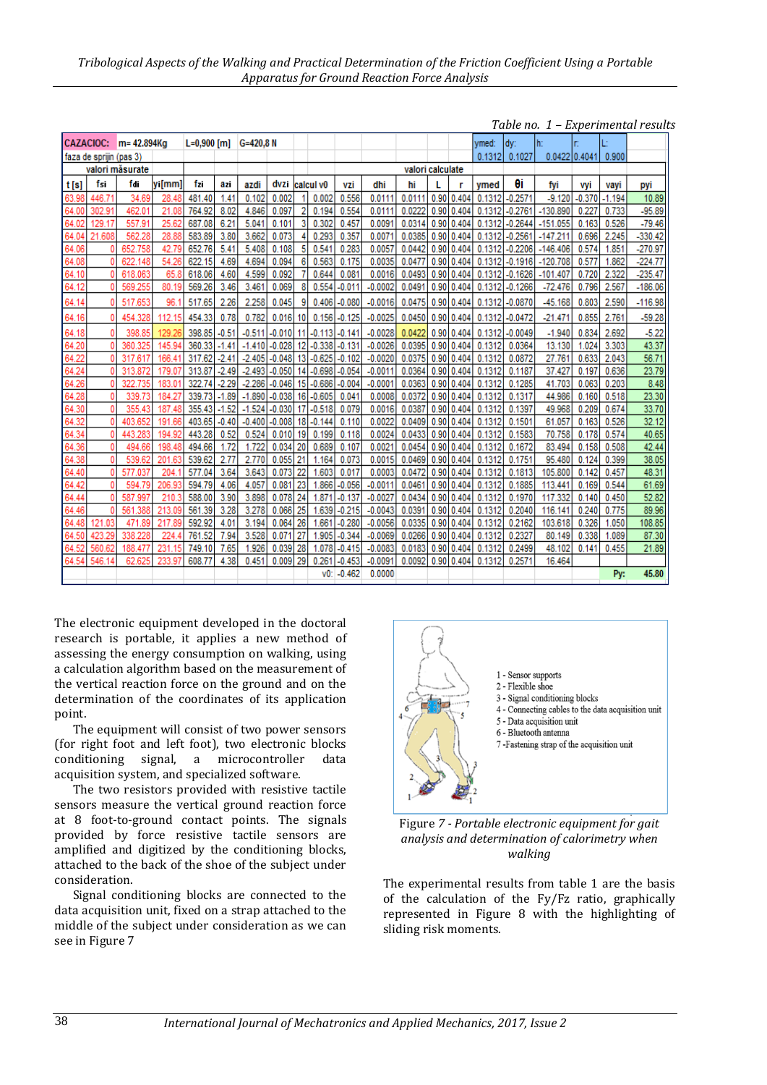| <b>CAZACIOC:</b><br>m= 42.894Kg |            |            |            | $L=0.900$ [m] |         | $G = 420.8 N$ |          |    |            |              |           |                  |      |            | vmed:  | dv:           | lh:        | n        |          |           |
|---------------------------------|------------|------------|------------|---------------|---------|---------------|----------|----|------------|--------------|-----------|------------------|------|------------|--------|---------------|------------|----------|----------|-----------|
| faza de sprijin (pas 3)         |            |            |            |               |         |               |          |    |            |              |           |                  |      | 0.1312     | 0.1027 | 0.0422 0.4041 |            | 0.900    |          |           |
| valori măsurate                 |            |            |            |               |         |               |          |    |            |              |           | valori calculate |      |            |        |               |            |          |          |           |
| t[s]                            | fsi        | fdi        | yi[mm]     | fzi           | azi     | azdi          | dvzi     |    | Icalcul v0 | vzi          | dhi       | hi               |      |            | ymed   | θi            | fyi        | vyi      | vayi     | pyi       |
| 63.98                           | 446.71     | 34.69      | 28.48      | 481.40        | 1.41    | 0.102         | 0.002    |    | 0.002      | 0.556        | 0.0111    | 0.0111           | 0.90 | 0.404      | 0.1312 | $-0.2571$     | $-9.120$   | $-0.370$ | $-1.194$ | 10.89     |
| 64.00                           | 302.91     | 462.01     | 21.08      | 764.92        | 8.02    | 4.846         | 0.097    | 2  | 0.194      | 0.554        | 0.0111    | 0.0222           | 0.90 | 0.404      | 0.1312 | $-0.2761$     | $-130.890$ | 0.227    | 0.733    | $-95.89$  |
| 64.02                           | 129.17     | 557.91     | 25.62      | 687.08        | 6.21    | 5.041         | 0.101    | 3  | 0.302      | 0.457        | 0.0091    | 0.0314           | 0.90 | 0.404      | 0.1312 | $-0.2644$     | $-151.055$ | 0.163    | 0.526    | $-79.46$  |
| 64.04                           | 21.608     | 562.28     | 28.88      | 583.89        | 3.80    | 3.662         | 0.073    |    | 0.293      | 0.357        | 0.0071    | 0.0385           | 0.90 | 0.404      | 0.1312 | $-0.2561$     | $-147.211$ | 0.696    | 2.245    | $-330.42$ |
| 64.06                           |            | 652.758    | 42.79      | 652.76        | 5.41    | 5.408         | 0.108    | 5  | 0.541      | 0.283        | 0.0057    | 0.0442           | 0.90 | 0.404      | 0.1312 | $-0.2206$     | $-146.406$ | 0.574    | 1.851    | $-270.97$ |
| 64.08                           |            | 622.148    | 54.26      | 622.15        | 4.69    | 4.694         | 0.094    | 6  | 0.563      | 0.175        | 0.0035    | 0.0477           |      | 0.90 0.404 | 0.1312 | $-0.1916$     | $-120.708$ | 0.577    | 1.862    | $-224.77$ |
| 64.10                           |            | 618.063    | 65.8       | 618.06        | 4.60    | 4.599         | 0.092    |    | 0.644      | 0.081        | 0.0016    | 0.0493           |      | 0.90 0.404 | 0.1312 | $-0.1626$     | $-101.407$ | 0.720    | 2.322    | $-235.47$ |
| 64.12                           |            | 569.255    | 80.19      | 569.26        | 3.46    | 3.461         | 0.069    | 8  | 0.554      | $-0.011$     | $-0.0002$ | 0.0491           | 0.90 | 0.404      | 0.1312 | $-0.1266$     | $-72.476$  | 0.796    | 2.567    | $-186.06$ |
| 64.14                           |            | 517.653    | 96.1       | 517.65        | 2.26    | 2.258         | 0.045    | 9  | 0.406      | $-0.080$     | $-0.0016$ | 0.0475           | 0.90 | 0.404      | 0.1312 | $-0.0870$     | $-45.168$  | 0.803    | 2.590    | $-116.98$ |
| 64.16                           |            | 454.328    | 112.15     | 454.33        | 0.78    | 0.782         | 0.016    | 10 | 0.156      | $-0.125$     | $-0.0025$ | 0.0450           |      | 0.90 0.404 | 0.1312 | $-0.0472$     | $-21.471$  | 0.855    | 2.761    | $-59.28$  |
| 64.18                           |            | 398.85     | 129.26     | 398.85        | $-0.51$ | $-0.511$      | $-0.010$ | 11 | $-0.113$   | $-0.141$     | $-0.0028$ | 0.0422           | 0.90 | 0.404      | 0.1312 | $-0.0049$     | $-1.940$   | 0.834    | 2.692    | $-5.22$   |
| 64.20                           |            | 360.325    | 145.94     | 360.33        | $-1.41$ | $-1.410$      | $-0.028$ | 12 | $-0.338$   | $-0.131$     | $-0.0026$ | 0.0395           | 0.90 | 0.404      | 0.1312 | 0.0364        | 13.130     | 1.024    | 3.303    | 43.37     |
| 64.22                           |            | 317.617    | 166.41     | 317.62        | $-2.41$ | $-2.405$      | $-0.048$ | 13 | $-0.625$   | $-0.102$     | $-0.0020$ | 0.0375           | 0.90 | 0.404      | 0.1312 | 0.0872        | 27.761     | 0.633    | 2.043    | 56.71     |
| 64.24                           |            | 313.872    | 179.07     | 313.87        | $-2.49$ | $-2.493$      | $-0.050$ | 14 | $-0.698$   | $-0.054$     | $-0.0011$ | 0.0364           |      | 0.90 0.404 | 0.1312 | 0.1187        | 37.427     | 0.197    | 0.636    | 23.79     |
| 64.26                           |            | 322.735    | 183.01     | 322.74        | $-2.29$ | $-2.286$      | $-0.046$ | 15 | $-0.686$   | $-0.004$     | $-0.0001$ | 0.0363           |      | 0.90 0.404 | 0.1312 | 0.1285        | 41.703     | 0.063    | 0.203    | 8.48      |
| 64.28                           | 0          | 339.73     | 184.27     | 339.73        | $-1.89$ | $-1.890$      | $-0.038$ | 16 | $-0.605$   | 0.041        | 0.0008    | 0.0372           | 0.90 | 0.404      | 0.1312 | 0.1317        | 44.986     | 0.160    | 0.518    | 23.30     |
| 64.30                           | Ō          | 355.43     | 187.48     | 355.43        | $-1.52$ | $-1.524$      | $-0.030$ | 17 | $-0.518$   | 0.079        | 0.0016    | 0.0387           | 0.90 | 0.404      | 0.1312 | 0.1397        | 49.968     | 0.209    | 0.674    | 33.70     |
| 64.32                           |            | 403.652    | 191.66     | 403.65        | $-0.40$ | $-0.400$      | $-0.008$ | 18 | $-0.144$   | 0.110        | 0.0022    | 0.0409           | 0.90 | 0.404      | 0.1312 | 0.1501        | 61.057     | 0.163    | 0.526    | 32.12     |
| 64.34                           |            | 443.283    | 194<br>-92 | 443.28        | 0.52    | 0.524         | 0.010    | 19 | 0.199      | 0.118        | 0.0024    | 0.0433           | 0.90 | 0.404      | 0.1312 | 0.1583        | 70.758     | 0.178    | 0.574    | 40.65     |
| 64.36                           |            | 494.66     | 198<br>48  | 494.66        | 1.72    | 1.722         | 0.034    | 20 | 0.689      | 0.107        | 0.0021    | 0.0454           | 0.90 | 0.404      | 0.1312 | 0.1672        | 83.494     | 0.158    | 0.508    | 42.44     |
| 64.38                           |            | 539.62     | 201<br>.63 | 539.62        | 2.77    | 2.770         | 0.055    | 21 | 1.164      | 0.073        | 0.0015    | 0.0469           | 0.90 | 0.404      | 0.1312 | 0.1751        | 95.480     | 0.124    | 0.399    | 38.05     |
| 64.40                           |            | 577.037    | 204        | 577.04        | 3.64    | 3.643         | 0.073    | 22 | 1.603      | 0.017        | 0.0003    | 0.0472           | 0.90 | 0.404      | 0.1312 | 0.1813        | 105,800    | 0.142    | 0.457    | 48.31     |
| 64.42                           | ٥          | 594.79     | 206.93     | 594.79        | 4.06    | 4.057         | 0.081    | 23 | 1.866      | $-0.056$     | $-0.0011$ | 0.046            | 0.90 | 0.404      | 0.1312 | 0.1885        | 113.441    | 0.169    | 0.544    | 61.69     |
| 64.44                           |            | 587.997    | 210.<br>3  | 588.00        | 3.90    | 3.898         | 0.078    | 24 | 1.871      | $-0.137$     | $-0.0027$ | 0.0434           | 0.90 | 0.404      | 0.1312 | 0.1970        | 117.332    | 0.140    | 0.450    | 52.82     |
| 64.46                           |            | 561<br>388 | 213.09     | 561.39        | 3.28    | 3.278         | 0.066    | 25 | 1.639      | $-0.215$     | $-0.0043$ | 0.0391           | 0.90 | 0.404      | 0.1312 | 0.2040        | 116.141    | 0.240    | 0.775    | 89.96     |
| 64.48                           | 121<br>.03 | 471.89     | 217.89     | 592.92        | 4.01    | 3.194         | 0.064    | 26 | 1.661      | $-0.280$     | $-0.0056$ | 0.0335           | 0.90 | 0.404      | 0.1312 | 0.2162        | 103.618    | 0.326    | 1.050    | 108.85    |
| 64.50                           | 423.29     | 338.228    | 224        | 761.52        | 7.94    | 3.528         | 0.071    | 27 | 1.905      | $-0.344$     | $-0.0069$ | 0.0266           |      | 0.90 0.404 | 0.1312 | 0.2327        | 80.149     | 0.338    | 1.089    | 87.30     |
| 64.52                           | 560.62     | 188.477    | 231.15     | 749.10        | 7.65    | 1.926         | 0.039    | 28 | 1.078      | $-0.415$     | $-0.0083$ | 0.0183           |      | 0.90 0.404 | 0.1312 | 0.2499        | 48.102     | 0.141    | 0.455    | 21.89     |
| 64.54                           | 546.14     | 62.625     | 233.97     | 608.77        | 4.38    | 0.451         | 0.009    | 29 | 0.261      | $-0.453$     | $-0.0091$ | 0.0092           | 0.90 | 0.404      | 0.1312 | 0.2571        | 16.464     |          |          |           |
|                                 |            |            |            |               |         |               |          |    |            | $v0: -0.462$ | 0.0000    |                  |      |            |        |               |            |          | Py:      | 45.80     |

*Table no. 1 – Experimental results* 

The electronic equipment developed in the doctoral research is portable, it applies a new method of assessing the energy consumption on walking, using a calculation algorithm based on the measurement of the vertical reaction force on the ground and on the determination of the coordinates of its application point.

The equipment will consist of two power sensors (for right foot and left foot), two electronic blocks conditioning signal, a microcontroller data acquisition system, and specialized software.

The two resistors provided with resistive tactile sensors measure the vertical ground reaction force at 8 foot-to-ground contact points. The signals provided by force resistive tactile sensors are amplified and digitized by the conditioning blocks, attached to the back of the shoe of the subject under consideration.

Signal conditioning blocks are connected to the data acquisition unit, fixed on a strap attached to the middle of the subject under consideration as we can see in Figure 7



Figure *7 - Portable electronic equipment for gait analysis and determination of calorimetry when walking*

The experimental results from table 1 are the basis of the calculation of the Fy/Fz ratio, graphically represented in Figure 8 with the highlighting of sliding risk moments.